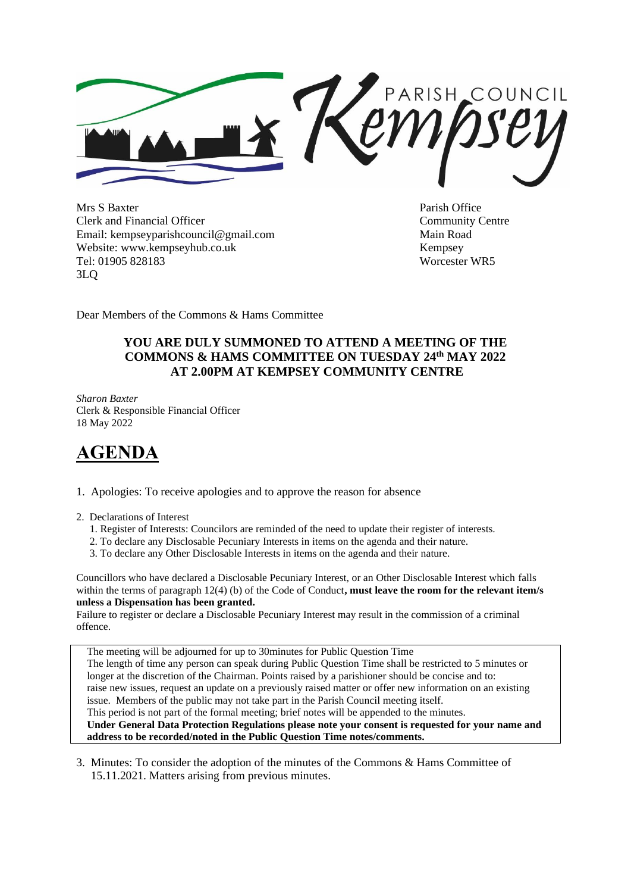PARISH\_COUNCIL

Mrs S Baxter Parish Office Clerk and Financial Officer Community Centre Email: kempseyparishcouncil@gmail.com Main Road Website: www.kempseyhub.co.uk Kempsey Tel: 01905 828183 Worcester WR5 3LQ

Dear Members of the Commons & Hams Committee

# **YOU ARE DULY SUMMONED TO ATTEND A MEETING OF THE COMMONS & HAMS COMMITTEE ON TUESDAY 24th MAY 2022 AT 2.00PM AT KEMPSEY COMMUNITY CENTRE**

*Sharon Baxter* Clerk & Responsible Financial Officer 18 May 2022

# **AGENDA**

1. Apologies: To receive apologies and to approve the reason for absence

2. Declarations of Interest

- 1. Register of Interests: Councilors are reminded of the need to update their register of interests.
- 2. To declare any Disclosable Pecuniary Interests in items on the agenda and their nature.
- 3. To declare any Other Disclosable Interests in items on the agenda and their nature.

Councillors who have declared a Disclosable Pecuniary Interest, or an Other Disclosable Interest which falls within the terms of paragraph 12(4) (b) of the Code of Conduct, **must leave the room for the relevant item/s unless a Dispensation has been granted.** 

Failure to register or declare a Disclosable Pecuniary Interest may result in the commission of a criminal offence.

 The meeting will be adjourned for up to 30minutes for Public Question Time The length of time any person can speak during Public Question Time shall be restricted to 5 minutes or longer at the discretion of the Chairman. Points raised by a parishioner should be concise and to: raise new issues, request an update on a previously raised matter or offer new information on an existing issue. Members of the public may not take part in the Parish Council meeting itself. This period is not part of the formal meeting; brief notes will be appended to the minutes. **Under General Data Protection Regulations please note your consent is requested for your name and address to be recorded/noted in the Public Question Time notes/comments.**

3. Minutes: To consider the adoption of the minutes of the Commons & Hams Committee of 15.11.2021. Matters arising from previous minutes.